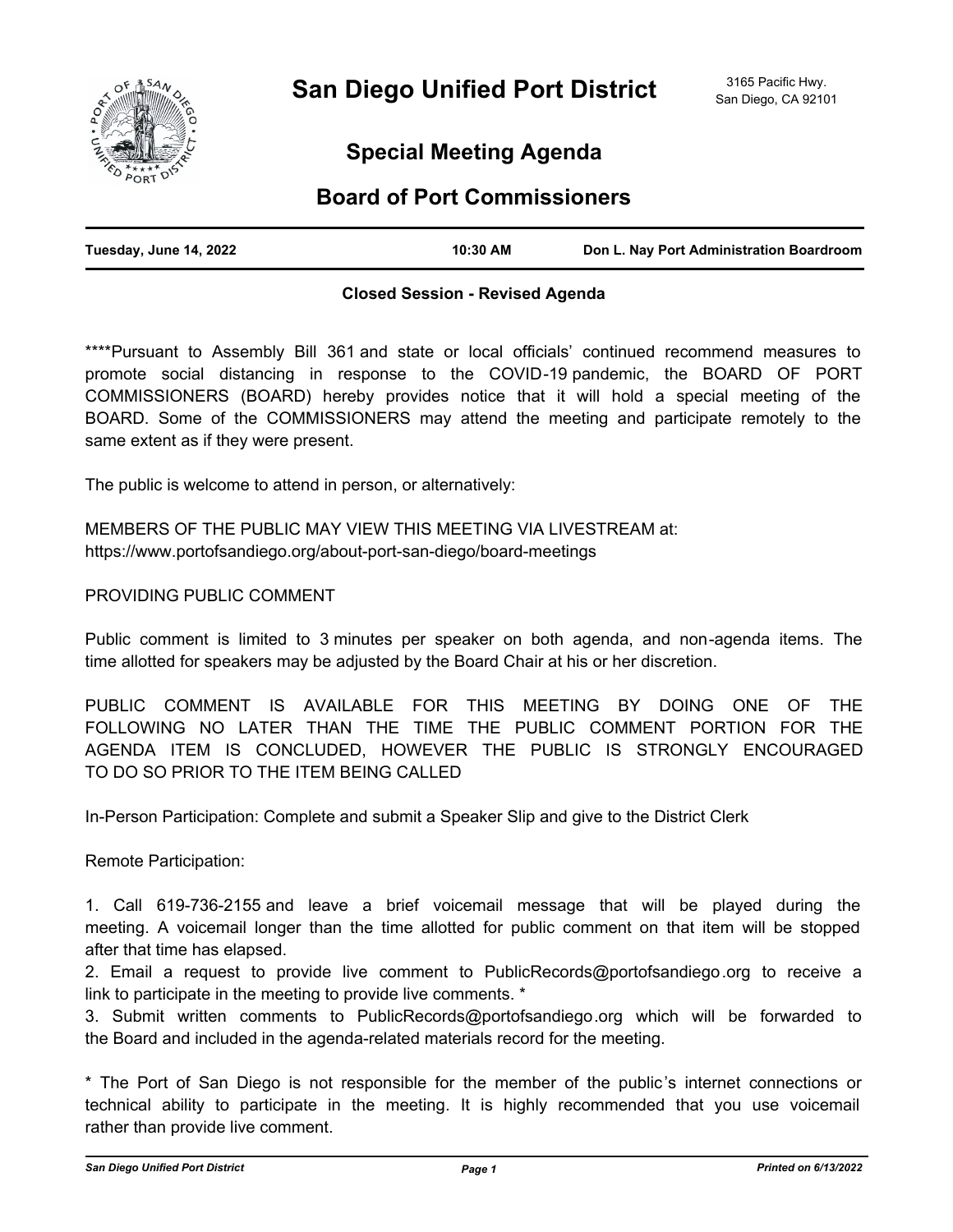

# **Special Meeting Agenda**

# **Board of Port Commissioners**

| Tuesday, June 14, 2022 | 10:30 AM | Don L. Nay Port Administration Boardroom |
|------------------------|----------|------------------------------------------|
|                        |          |                                          |

## **Closed Session - Revised Agenda**

\*\*\*\*Pursuant to Assembly Bill 361 and state or local officials' continued recommend measures to promote social distancing in response to the COVID-19 pandemic, the BOARD OF PORT COMMISSIONERS (BOARD) hereby provides notice that it will hold a special meeting of the BOARD. Some of the COMMISSIONERS may attend the meeting and participate remotely to the same extent as if they were present.

The public is welcome to attend in person, or alternatively:

MEMBERS OF THE PUBLIC MAY VIEW THIS MEETING VIA LIVESTREAM at: https://www.portofsandiego.org/about-port-san-diego/board-meetings

PROVIDING PUBLIC COMMENT

Public comment is limited to 3 minutes per speaker on both agenda, and non-agenda items. The time allotted for speakers may be adjusted by the Board Chair at his or her discretion.

PUBLIC COMMENT IS AVAILABLE FOR THIS MEETING BY DOING ONE OF THE FOLLOWING NO LATER THAN THE TIME THE PUBLIC COMMENT PORTION FOR THE AGENDA ITEM IS CONCLUDED, HOWEVER THE PUBLIC IS STRONGLY ENCOURAGED TO DO SO PRIOR TO THE ITEM BEING CALLED

In-Person Participation: Complete and submit a Speaker Slip and give to the District Clerk

Remote Participation:

1. Call 619-736-2155 and leave a brief voicemail message that will be played during the meeting. A voicemail longer than the time allotted for public comment on that item will be stopped after that time has elapsed.

2. Email a request to provide live comment to PublicRecords@portofsandiego.org to receive a link to participate in the meeting to provide live comments. \*

3. Submit written comments to PublicRecords@portofsandiego.org which will be forwarded to the Board and included in the agenda-related materials record for the meeting.

\* The Port of San Diego is not responsible for the member of the public's internet connections or technical ability to participate in the meeting. It is highly recommended that you use voicemail rather than provide live comment.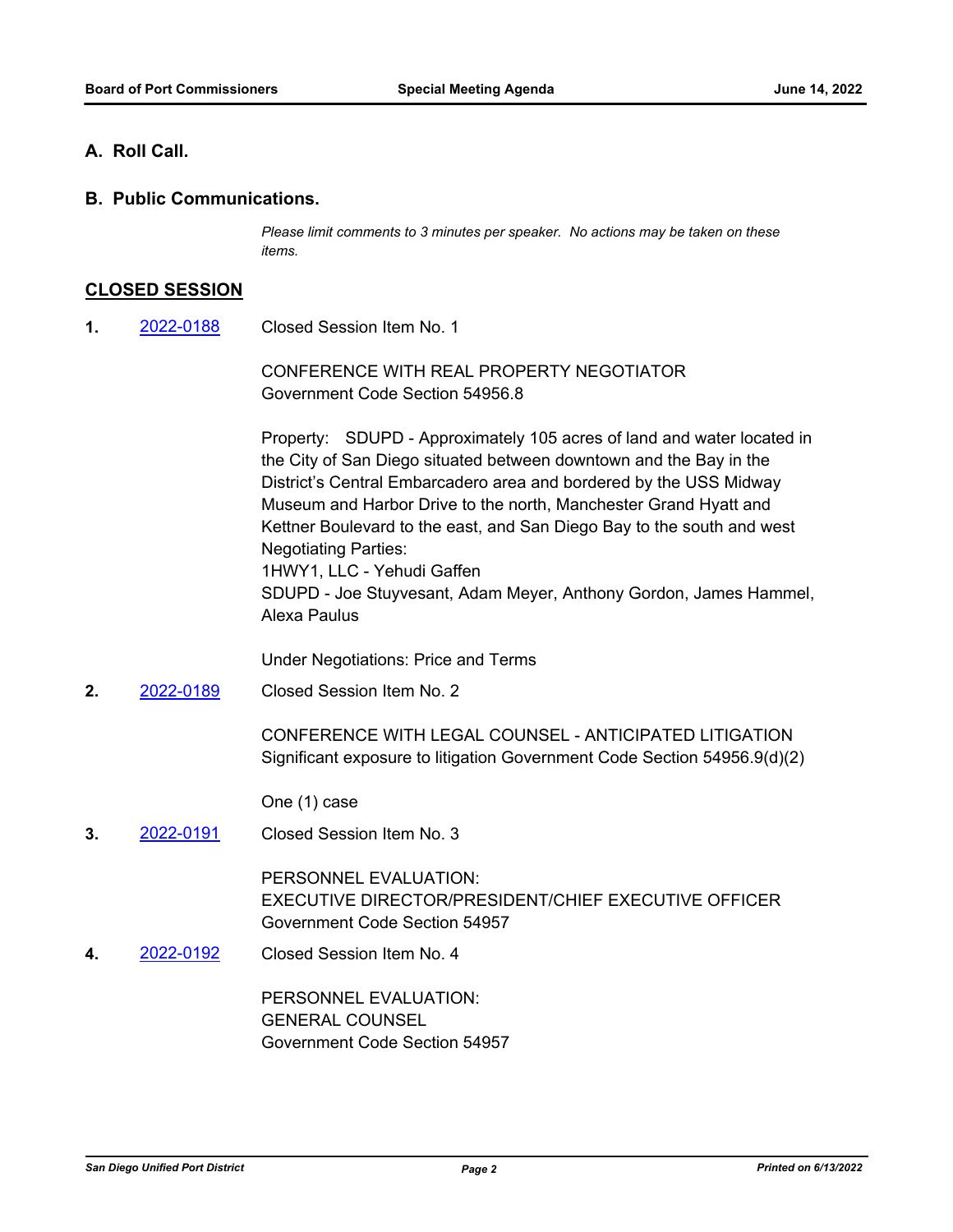### **A. Roll Call.**

**B. Public Communications.**

*Please limit comments to 3 minutes per speaker. No actions may be taken on these items.*

#### **CLOSED SESSION**

Closed Session Item No. 1 **1.** [2022-0188](http://portofsandiego.legistar.com/gateway.aspx?m=l&id=/matter.aspx?key=6332)

> CONFERENCE WITH REAL PROPERTY NEGOTIATOR Government Code Section 54956.8

Property: SDUPD - Approximately 105 acres of land and water located in the City of San Diego situated between downtown and the Bay in the District's Central Embarcadero area and bordered by the USS Midway Museum and Harbor Drive to the north, Manchester Grand Hyatt and Kettner Boulevard to the east, and San Diego Bay to the south and west Negotiating Parties: 1HWY1, LLC - Yehudi Gaffen SDUPD - Joe Stuyvesant, Adam Meyer, Anthony Gordon, James Hammel, Alexa Paulus

Under Negotiations: Price and Terms

Closed Session Item No. 2 **2.** [2022-0189](http://portofsandiego.legistar.com/gateway.aspx?m=l&id=/matter.aspx?key=6333)

> CONFERENCE WITH LEGAL COUNSEL - ANTICIPATED LITIGATION Significant exposure to litigation Government Code Section 54956.9(d)(2)

One (1) case

Closed Session Item No. 3 **3.** [2022-0191](http://portofsandiego.legistar.com/gateway.aspx?m=l&id=/matter.aspx?key=6335)

> PERSONNEL EVALUATION: EXECUTIVE DIRECTOR/PRESIDENT/CHIEF EXECUTIVE OFFICER Government Code Section 54957

Closed Session Item No. 4 **4.** [2022-0192](http://portofsandiego.legistar.com/gateway.aspx?m=l&id=/matter.aspx?key=6336)

> PERSONNEL EVALUATION: GENERAL COUNSEL Government Code Section 54957